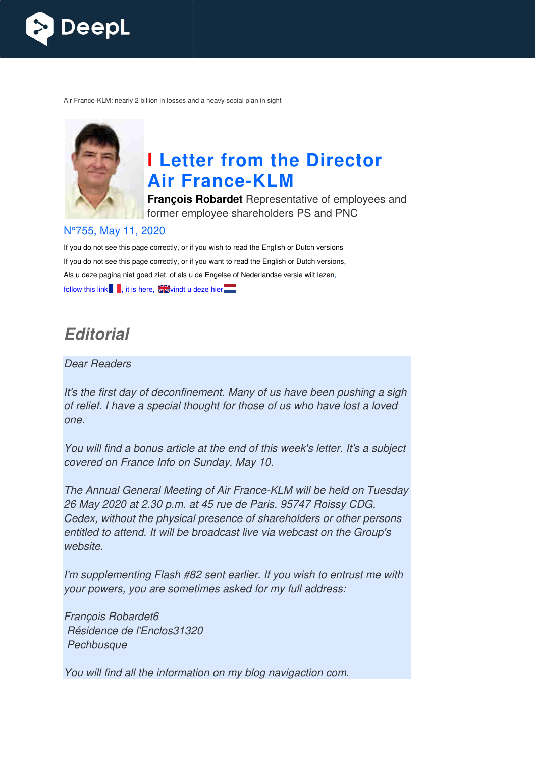

Air France-KLM: nearly 2 billion in losses and a heavy social plan in sight



# **I Letter from the Director Air France France-KLM**

**François Robardet** Representative of employees and former employee shareholders PS and PNC

#### N°755, May 11, 2020

If you do not see this page correctly, or if you wish to read the English or Dutch versions If you do not see this page correctly, or if you want to read the English or Dutch versions, Als u deze pagina niet goed ziet, of als u de Engelse of Nederlandse versie wilt lezen, follow this link  $\blacksquare$ , it is here,  $\square$  windt u deze hier $\square$ 

# *Editorial*

#### Dear Readers

It's the first day of deconfinement. Many of us have been pushing a sigh of relief. I have a special thought for those of us who have lost a loved one.

You will find a bonus article at the end of this week's letter. It's a subject covered on France Info on Sunday, May 10.

The Annual General Meeting of Air France-KLM will be held on Tuesday 26 May 2020 at 2.30 p.m. at 45 rue de Paris, 95747 Roissy CDG, Cedex, without the physical presence of shareholders or other persons entitled to attend. It will be broadcast live via webcast on the Group's website. KLM will be<br>s, 95747 Re<br>areholders

I'm supplementing Flash #82 sent earlier. If you wish to entrust me with your powers, you are sometimes asked for my full address:

François Robardet6 Résidence de l'Enclos31320 **Pechbusque** 

You will find all the information on my blog navigaction com.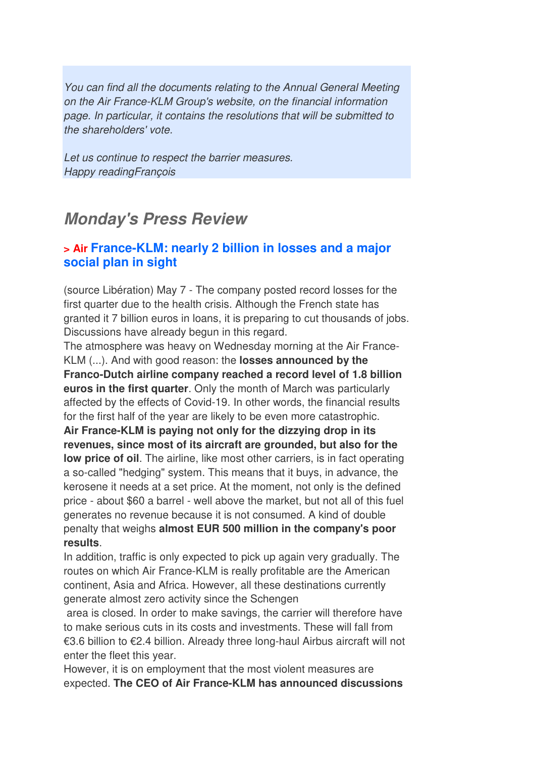You can find all the documents relating to the Annual General Meeting on the Air France-KLM Group's website, on the financial information page. In particular, it contains the resolutions that will be submitted to the shareholders' vote.

Let us continue to respect the barrier measures. Happy readingFrançois

# *Monday's Press Review*

#### **> Air France-KLM: nearly 2 billion in losses and a major social plan in sight**

(source Libération) May 7 - The company posted record losses for the first quarter due to the health crisis. Although the French state has granted it 7 billion euros in loans, it is preparing to cut thousands of jobs. Discussions have already begun in this regard.

The atmosphere was heavy on Wednesday morning at the Air France-KLM (...). And with good reason: the **losses announced by the Franco-Dutch airline company reached a record level of 1.8 billion euros in the first quarter**. Only the month of March was particularly affected by the effects of Covid-19. In other words, the financial results for the first half of the year are likely to be even more catastrophic.

**Air France-KLM is paying not only for the dizzying drop in its revenues, since most of its aircraft are grounded, but also for the low price of oil.** The airline, like most other carriers, is in fact operating a so-called "hedging" system. This means that it buys, in advance, the kerosene it needs at a set price. At the moment, not only is the defined price - about \$60 a barrel - well above the market, but not all of this fuel generates no revenue because it is not consumed. A kind of double penalty that weighs **almost EUR 500 million in the company's poor results**.

In addition, traffic is only expected to pick up again very gradually. The routes on which Air France-KLM is really profitable are the American continent, Asia and Africa. However, all these destinations currently generate almost zero activity since the Schengen

 area is closed. In order to make savings, the carrier will therefore have to make serious cuts in its costs and investments. These will fall from €3.6 billion to €2.4 billion. Already three long-haul Airbus aircraft will not enter the fleet this year.

However, it is on employment that the most violent measures are expected. **The CEO of Air France-KLM has announced discussions**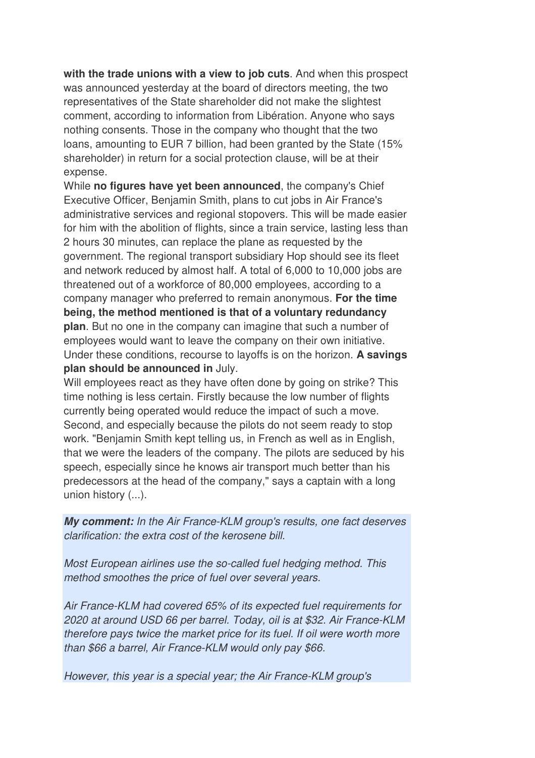**with the trade unions with a view to job cuts**. And when this prospect was announced yesterday at the board of directors meeting, the two representatives of the State shareholder did not make the slightest comment, according to information from Libération. Anyone who says nothing consents. Those in the company who thought that the two loans, amounting to EUR 7 billion, had been granted by the State (15% shareholder) in return for a social protection clause, will be at their expense.

While **no figures have yet been announced**, the company's Chief Executive Officer, Benjamin Smith, plans to cut jobs in Air France's administrative services and regional stopovers. This will be made easier for him with the abolition of flights, since a train service, lasting less than 2 hours 30 minutes, can replace the plane as requested by the government. The regional transport subsidiary Hop should see its fleet and network reduced by almost half. A total of 6,000 to 10,000 jobs are threatened out of a workforce of 80,000 employees, according to a company manager who preferred to remain anonymous. **For the time being, the method mentioned is that of a voluntary redundancy plan**. But no one in the company can imagine that such a number of employees would want to leave the company on their own initiative. Under these conditions, recourse to layoffs is on the horizon. **A savings plan should be announced in** July.

Will employees react as they have often done by going on strike? This time nothing is less certain. Firstly because the low number of flights currently being operated would reduce the impact of such a move. Second, and especially because the pilots do not seem ready to stop work. "Benjamin Smith kept telling us, in French as well as in English, that we were the leaders of the company. The pilots are seduced by his speech, especially since he knows air transport much better than his predecessors at the head of the company," says a captain with a long union history (...).

*My comment:* In the Air France-KLM group's results, one fact deserves clarification: the extra cost of the kerosene bill.

Most European airlines use the so-called fuel hedging method. This method smoothes the price of fuel over several years.

Air France-KLM had covered 65% of its expected fuel requirements for 2020 at around USD 66 per barrel. Today, oil is at \$32. Air France-KLM therefore pays twice the market price for its fuel. If oil were worth more than \$66 a barrel, Air France-KLM would only pay \$66.

However, this year is a special year; the Air France-KLM group's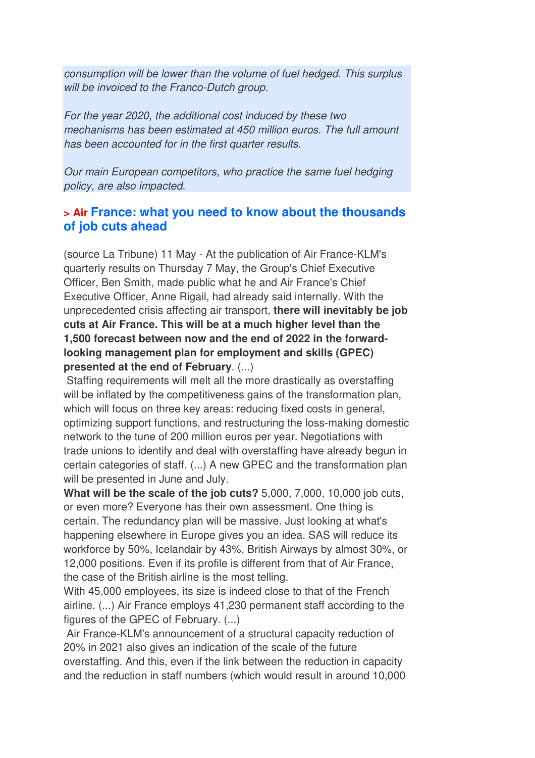consumption will be lower than the volume of fuel hedged. This surplus will be invoiced to the Franco-Dutch group.

For the year 2020, the additional cost induced by these two mechanisms has been estimated at 450 million euros. The full amount has been accounted for in the first quarter results.

Our main European competitors, who practice the same fuel hedging policy, are also impacted.

#### **> Air France: what you need to know about the thousands of job cuts ahead**

(source La Tribune) 11 May - At the publication of Air France-KLM's quarterly results on Thursday 7 May, the Group's Chief Executive Officer, Ben Smith, made public what he and Air France's Chief Executive Officer, Anne Rigail, had already said internally. With the unprecedented crisis affecting air transport, **there will inevitably be job cuts at Air France. This will be at a much higher level than the 1,500 forecast between now and the end of 2022 in the forwardlooking management plan for employment and skills (GPEC) presented at the end of February**. (...)

 Staffing requirements will melt all the more drastically as overstaffing will be inflated by the competitiveness gains of the transformation plan, which will focus on three key areas: reducing fixed costs in general, optimizing support functions, and restructuring the loss-making domestic network to the tune of 200 million euros per year. Negotiations with trade unions to identify and deal with overstaffing have already begun in certain categories of staff. (...) A new GPEC and the transformation plan will be presented in June and July.

**What will be the scale of the job cuts?** 5,000, 7,000, 10,000 job cuts, or even more? Everyone has their own assessment. One thing is certain. The redundancy plan will be massive. Just looking at what's happening elsewhere in Europe gives you an idea. SAS will reduce its workforce by 50%, Icelandair by 43%, British Airways by almost 30%, or 12,000 positions. Even if its profile is different from that of Air France, the case of the British airline is the most telling.

With 45,000 employees, its size is indeed close to that of the French airline. (...) Air France employs 41,230 permanent staff according to the figures of the GPEC of February. (...)

 Air France-KLM's announcement of a structural capacity reduction of 20% in 2021 also gives an indication of the scale of the future overstaffing. And this, even if the link between the reduction in capacity and the reduction in staff numbers (which would result in around 10,000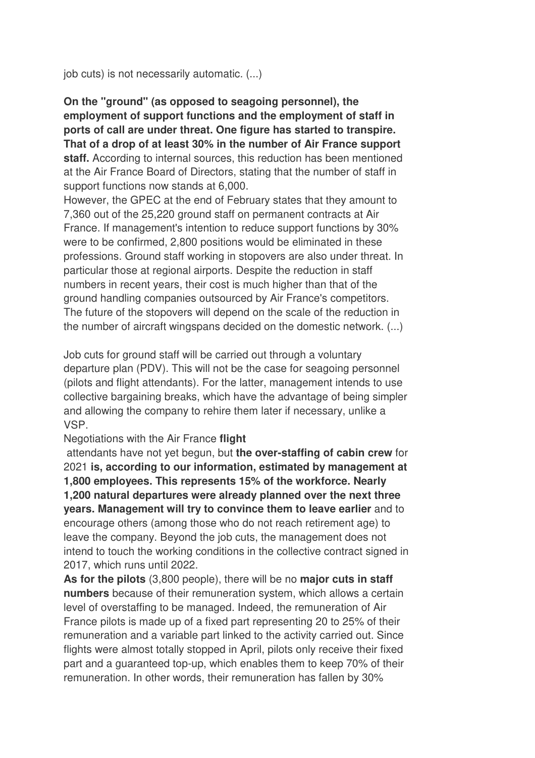job cuts) is not necessarily automatic. (...)

**On the "ground" (as opposed to seagoing personnel), the employment of support functions and the employment of staff in ports of call are under threat. One figure has started to transpire. That of a drop of at least 30% in the number of Air France support staff.** According to internal sources, this reduction has been mentioned at the Air France Board of Directors, stating that the number of staff in support functions now stands at 6,000.

However, the GPEC at the end of February states that they amount to 7,360 out of the 25,220 ground staff on permanent contracts at Air France. If management's intention to reduce support functions by 30% were to be confirmed, 2,800 positions would be eliminated in these professions. Ground staff working in stopovers are also under threat. In particular those at regional airports. Despite the reduction in staff numbers in recent years, their cost is much higher than that of the ground handling companies outsourced by Air France's competitors. The future of the stopovers will depend on the scale of the reduction in the number of aircraft wingspans decided on the domestic network. (...)

Job cuts for ground staff will be carried out through a voluntary departure plan (PDV). This will not be the case for seagoing personnel (pilots and flight attendants). For the latter, management intends to use collective bargaining breaks, which have the advantage of being simpler and allowing the company to rehire them later if necessary, unlike a VSP.

#### Negotiations with the Air France **flight**

 attendants have not yet begun, but **the over-staffing of cabin crew** for 2021 **is, according to our information, estimated by management at 1,800 employees. This represents 15% of the workforce. Nearly 1,200 natural departures were already planned over the next three years. Management will try to convince them to leave earlier** and to encourage others (among those who do not reach retirement age) to leave the company. Beyond the job cuts, the management does not intend to touch the working conditions in the collective contract signed in 2017, which runs until 2022.

**As for the pilots** (3,800 people), there will be no **major cuts in staff numbers** because of their remuneration system, which allows a certain level of overstaffing to be managed. Indeed, the remuneration of Air France pilots is made up of a fixed part representing 20 to 25% of their remuneration and a variable part linked to the activity carried out. Since flights were almost totally stopped in April, pilots only receive their fixed part and a guaranteed top-up, which enables them to keep 70% of their remuneration. In other words, their remuneration has fallen by 30%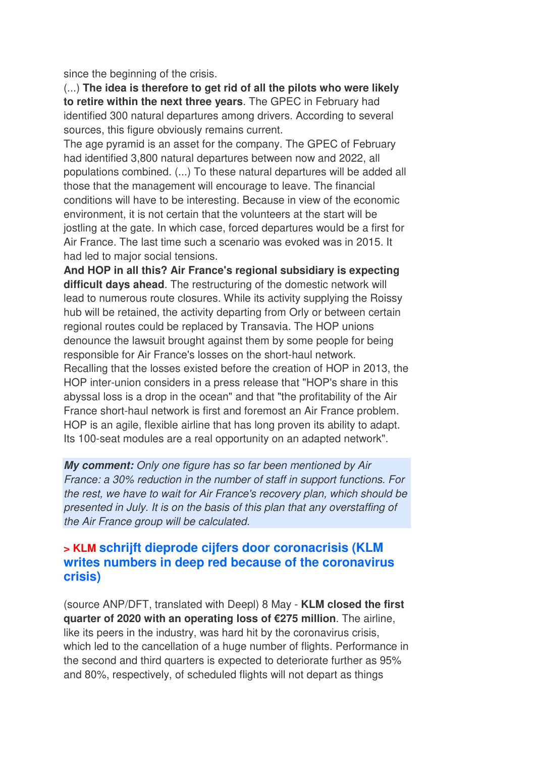since the beginning of the crisis.

(...) **The idea is therefore to get rid of all the pilots who were likely to retire within the next three years**. The GPEC in February had identified 300 natural departures among drivers. According to several sources, this figure obviously remains current.

The age pyramid is an asset for the company. The GPEC of February had identified 3,800 natural departures between now and 2022, all populations combined. (...) To these natural departures will be added all those that the management will encourage to leave. The financial conditions will have to be interesting. Because in view of the economic environment, it is not certain that the volunteers at the start will be jostling at the gate. In which case, forced departures would be a first for Air France. The last time such a scenario was evoked was in 2015. It had led to major social tensions.

**And HOP in all this? Air France's regional subsidiary is expecting difficult days ahead**. The restructuring of the domestic network will lead to numerous route closures. While its activity supplying the Roissy hub will be retained, the activity departing from Orly or between certain regional routes could be replaced by Transavia. The HOP unions denounce the lawsuit brought against them by some people for being responsible for Air France's losses on the short-haul network. Recalling that the losses existed before the creation of HOP in 2013, the HOP inter-union considers in a press release that "HOP's share in this abyssal loss is a drop in the ocean" and that "the profitability of the Air France short-haul network is first and foremost an Air France problem. HOP is an agile, flexible airline that has long proven its ability to adapt. Its 100-seat modules are a real opportunity on an adapted network".

*My comment:* Only one figure has so far been mentioned by Air France: a 30% reduction in the number of staff in support functions. For the rest, we have to wait for Air France's recovery plan, which should be presented in July. It is on the basis of this plan that any overstaffing of the Air France group will be calculated.

#### **> KLM schrijft dieprode cijfers door coronacrisis (KLM writes numbers in deep red because of the coronavirus crisis)**

(source ANP/DFT, translated with Deepl) 8 May - **KLM closed the first quarter of 2020 with an operating loss of €275 million**. The airline, like its peers in the industry, was hard hit by the coronavirus crisis, which led to the cancellation of a huge number of flights. Performance in the second and third quarters is expected to deteriorate further as 95% and 80%, respectively, of scheduled flights will not depart as things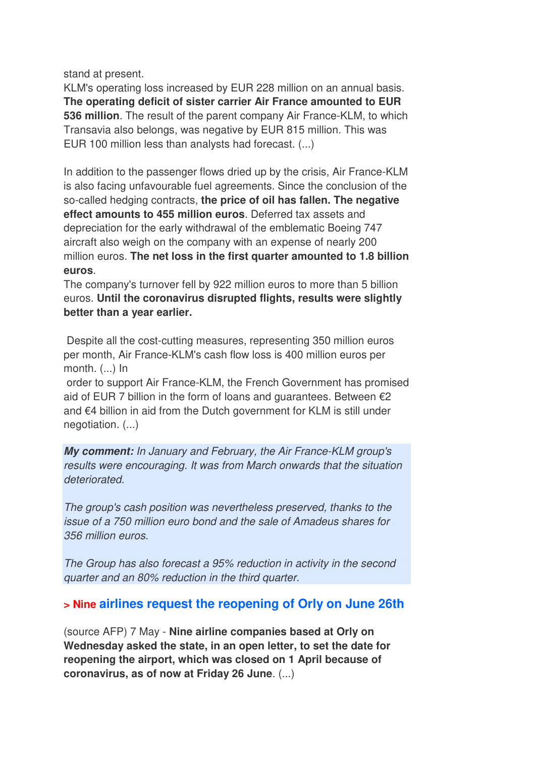stand at present.

KLM's operating loss increased by EUR 228 million on an annual basis. **The operating deficit of sister carrier Air France amounted to EUR 536 million**. The result of the parent company Air France-KLM, to which Transavia also belongs, was negative by EUR 815 million. This was EUR 100 million less than analysts had forecast. (...)

In addition to the passenger flows dried up by the crisis, Air France-KLM is also facing unfavourable fuel agreements. Since the conclusion of the so-called hedging contracts, **the price of oil has fallen. The negative effect amounts to 455 million euros**. Deferred tax assets and depreciation for the early withdrawal of the emblematic Boeing 747 aircraft also weigh on the company with an expense of nearly 200 million euros. **The net loss in the first quarter amounted to 1.8 billion euros**.

The company's turnover fell by 922 million euros to more than 5 billion euros. **Until the coronavirus disrupted flights, results were slightly better than a year earlier.** 

 Despite all the cost-cutting measures, representing 350 million euros per month, Air France-KLM's cash flow loss is 400 million euros per month. (...) In

 order to support Air France-KLM, the French Government has promised aid of EUR 7 billion in the form of loans and guarantees. Between  $\epsilon$ 2 and €4 billion in aid from the Dutch government for KLM is still under negotiation. (...)

*My comment:* In January and February, the Air France-KLM group's results were encouraging. It was from March onwards that the situation deteriorated.

The group's cash position was nevertheless preserved, thanks to the issue of a 750 million euro bond and the sale of Amadeus shares for 356 million euros.

The Group has also forecast a 95% reduction in activity in the second quarter and an 80% reduction in the third quarter.

#### **> Nine airlines request the reopening of Orly on June 26th**

(source AFP) 7 May - **Nine airline companies based at Orly on Wednesday asked the state, in an open letter, to set the date for reopening the airport, which was closed on 1 April because of coronavirus, as of now at Friday 26 June**. (...)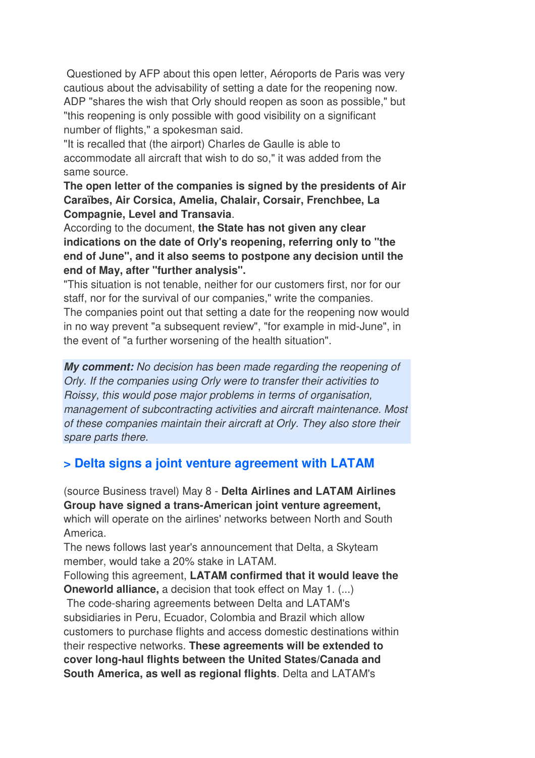Questioned by AFP about this open letter, Aéroports de Paris was very cautious about the advisability of setting a date for the reopening now. ADP "shares the wish that Orly should reopen as soon as possible," but "this reopening is only possible with good visibility on a significant number of flights," a spokesman said.

"It is recalled that (the airport) Charles de Gaulle is able to accommodate all aircraft that wish to do so," it was added from the same source.

**The open letter of the companies is signed by the presidents of Air Caraïbes, Air Corsica, Amelia, Chalair, Corsair, Frenchbee, La Compagnie, Level and Transavia**.

According to the document, **the State has not given any clear indications on the date of Orly's reopening, referring only to "the end of June", and it also seems to postpone any decision until the end of May, after "further analysis".** 

"This situation is not tenable, neither for our customers first, nor for our staff, nor for the survival of our companies," write the companies. The companies point out that setting a date for the reopening now would in no way prevent "a subsequent review", "for example in mid-June", in the event of "a further worsening of the health situation".

*My comment:* No decision has been made regarding the reopening of Orly. If the companies using Orly were to transfer their activities to Roissy, this would pose major problems in terms of organisation, management of subcontracting activities and aircraft maintenance. Most of these companies maintain their aircraft at Orly. They also store their spare parts there.

## **> Delta signs a joint venture agreement with LATAM**

(source Business travel) May 8 - **Delta Airlines and LATAM Airlines Group have signed a trans-American joint venture agreement,** which will operate on the airlines' networks between North and South America.

The news follows last year's announcement that Delta, a Skyteam member, would take a 20% stake in LATAM.

Following this agreement, **LATAM confirmed that it would leave the Oneworld alliance,** a decision that took effect on May 1. (...)

 The code-sharing agreements between Delta and LATAM's subsidiaries in Peru, Ecuador, Colombia and Brazil which allow customers to purchase flights and access domestic destinations within their respective networks. **These agreements will be extended to cover long-haul flights between the United States/Canada and South America, as well as regional flights**. Delta and LATAM's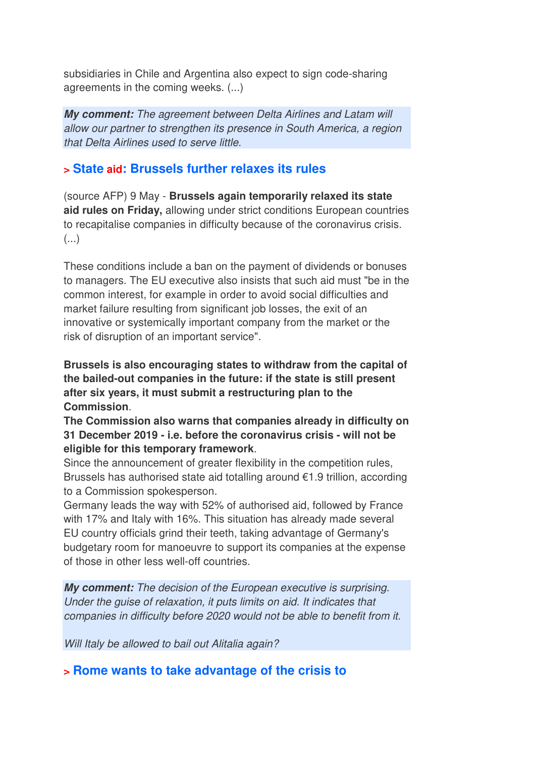subsidiaries in Chile and Argentina also expect to sign code-sharing agreements in the coming weeks. (...)

*My comment:* The agreement between Delta Airlines and Latam will allow our partner to strengthen its presence in South America, a region that Delta Airlines used to serve little.

#### **> State aid: Brussels further relaxes its rules**

(source AFP) 9 May - **Brussels again temporarily relaxed its state aid rules on Friday,** allowing under strict conditions European countries to recapitalise companies in difficulty because of the coronavirus crisis. (...)

These conditions include a ban on the payment of dividends or bonuses to managers. The EU executive also insists that such aid must "be in the common interest, for example in order to avoid social difficulties and market failure resulting from significant job losses, the exit of an innovative or systemically important company from the market or the risk of disruption of an important service".

**Brussels is also encouraging states to withdraw from the capital of the bailed-out companies in the future: if the state is still present after six years, it must submit a restructuring plan to the Commission**.

**The Commission also warns that companies already in difficulty on 31 December 2019 - i.e. before the coronavirus crisis - will not be eligible for this temporary framework**.

Since the announcement of greater flexibility in the competition rules, Brussels has authorised state aid totalling around €1.9 trillion, according to a Commission spokesperson.

Germany leads the way with 52% of authorised aid, followed by France with 17% and Italy with 16%. This situation has already made several EU country officials grind their teeth, taking advantage of Germany's budgetary room for manoeuvre to support its companies at the expense of those in other less well-off countries.

*My comment:* The decision of the European executive is surprising. Under the guise of relaxation, it puts limits on aid. It indicates that companies in difficulty before 2020 would not be able to benefit from it.

Will Italy be allowed to bail out Alitalia again?

#### **> Rome wants to take advantage of the crisis to**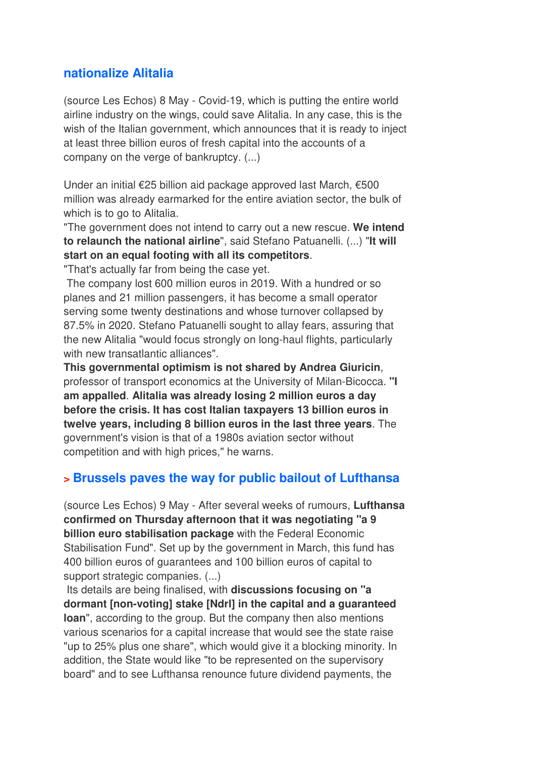#### **nationalize Alitalia**

(source Les Echos) 8 May - Covid-19, which is putting the entire world airline industry on the wings, could save Alitalia. In any case, this is the wish of the Italian government, which announces that it is ready to inject at least three billion euros of fresh capital into the accounts of a company on the verge of bankruptcy. (...)

Under an initial €25 billion aid package approved last March, €500 million was already earmarked for the entire aviation sector, the bulk of which is to go to Alitalia.

"The government does not intend to carry out a new rescue. **We intend to relaunch the national airline**", said Stefano Patuanelli. (...) "**It will start on an equal footing with all its competitors**.

"That's actually far from being the case yet.

 The company lost 600 million euros in 2019. With a hundred or so planes and 21 million passengers, it has become a small operator serving some twenty destinations and whose turnover collapsed by 87.5% in 2020. Stefano Patuanelli sought to allay fears, assuring that the new Alitalia "would focus strongly on long-haul flights, particularly with new transatlantic alliances".

**This governmental optimism is not shared by Andrea Giuricin**, professor of transport economics at the University of Milan-Bicocca. **"I am appalled**. **Alitalia was already losing 2 million euros a day before the crisis. It has cost Italian taxpayers 13 billion euros in twelve years, including 8 billion euros in the last three years**. The government's vision is that of a 1980s aviation sector without competition and with high prices," he warns.

#### **> Brussels paves the way for public bailout of Lufthansa**

(source Les Echos) 9 May - After several weeks of rumours, **Lufthansa confirmed on Thursday afternoon that it was negotiating "a 9 billion euro stabilisation package** with the Federal Economic Stabilisation Fund". Set up by the government in March, this fund has 400 billion euros of guarantees and 100 billion euros of capital to support strategic companies. (...)

 Its details are being finalised, with **discussions focusing on "a dormant [non-voting] stake [Ndrl] in the capital and a guaranteed loan**", according to the group. But the company then also mentions various scenarios for a capital increase that would see the state raise "up to 25% plus one share", which would give it a blocking minority. In addition, the State would like "to be represented on the supervisory board" and to see Lufthansa renounce future dividend payments, the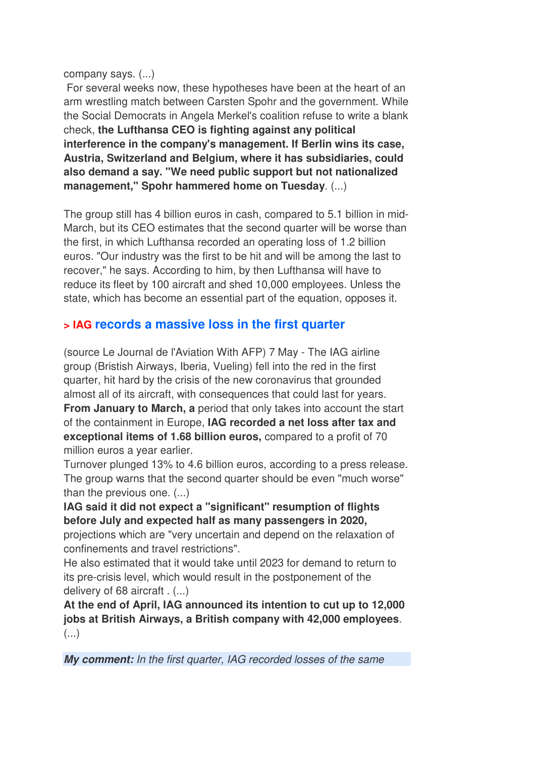company says. (...)

 For several weeks now, these hypotheses have been at the heart of an arm wrestling match between Carsten Spohr and the government. While the Social Democrats in Angela Merkel's coalition refuse to write a blank check, **the Lufthansa CEO is fighting against any political interference in the company's management. If Berlin wins its case, Austria, Switzerland and Belgium, where it has subsidiaries, could also demand a say. "We need public support but not nationalized management," Spohr hammered home on Tuesday**. (...)

The group still has 4 billion euros in cash, compared to 5.1 billion in mid-March, but its CEO estimates that the second quarter will be worse than the first, in which Lufthansa recorded an operating loss of 1.2 billion euros. "Our industry was the first to be hit and will be among the last to recover," he says. According to him, by then Lufthansa will have to reduce its fleet by 100 aircraft and shed 10,000 employees. Unless the state, which has become an essential part of the equation, opposes it.

## **> IAG records a massive loss in the first quarter**

(source Le Journal de l'Aviation With AFP) 7 May - The IAG airline group (Bristish Airways, Iberia, Vueling) fell into the red in the first quarter, hit hard by the crisis of the new coronavirus that grounded almost all of its aircraft, with consequences that could last for years. **From January to March, a** period that only takes into account the start of the containment in Europe, **IAG recorded a net loss after tax and exceptional items of 1.68 billion euros,** compared to a profit of 70 million euros a year earlier.

Turnover plunged 13% to 4.6 billion euros, according to a press release. The group warns that the second quarter should be even "much worse" than the previous one. (...)

**IAG said it did not expect a "significant" resumption of flights before July and expected half as many passengers in 2020,**

projections which are "very uncertain and depend on the relaxation of confinements and travel restrictions".

He also estimated that it would take until 2023 for demand to return to its pre-crisis level, which would result in the postponement of the delivery of 68 aircraft . (...)

**At the end of April, IAG announced its intention to cut up to 12,000 jobs at British Airways, a British company with 42,000 employees**. (...)

*My comment:* In the first quarter, IAG recorded losses of the same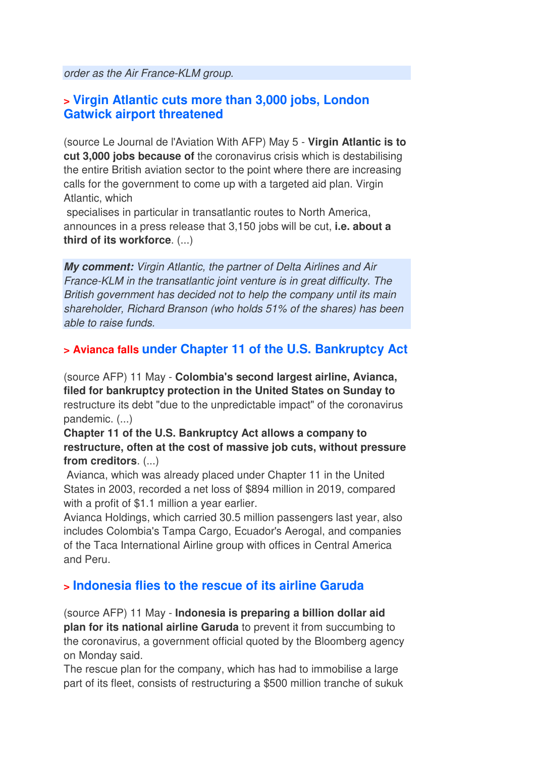order as the Air France-KLM group.

#### **> Virgin Atlantic cuts more than 3,000 jobs, London Gatwick airport threatened**

(source Le Journal de l'Aviation With AFP) May 5 - **Virgin Atlantic is to cut 3,000 jobs because of** the coronavirus crisis which is destabilising the entire British aviation sector to the point where there are increasing calls for the government to come up with a targeted aid plan. Virgin Atlantic, which

 specialises in particular in transatlantic routes to North America, announces in a press release that 3,150 jobs will be cut, **i.e. about a third of its workforce**. (...)

*My comment:* Virgin Atlantic, the partner of Delta Airlines and Air France-KLM in the transatlantic joint venture is in great difficulty. The British government has decided not to help the company until its main shareholder, Richard Branson (who holds 51% of the shares) has been able to raise funds.

#### **> Avianca falls under Chapter 11 of the U.S. Bankruptcy Act**

(source AFP) 11 May - **Colombia's second largest airline, Avianca, filed for bankruptcy protection in the United States on Sunday to** restructure its debt "due to the unpredictable impact" of the coronavirus pandemic. (...)

**Chapter 11 of the U.S. Bankruptcy Act allows a company to restructure, often at the cost of massive job cuts, without pressure from creditors**. (...)

 Avianca, which was already placed under Chapter 11 in the United States in 2003, recorded a net loss of \$894 million in 2019, compared with a profit of \$1.1 million a year earlier.

Avianca Holdings, which carried 30.5 million passengers last year, also includes Colombia's Tampa Cargo, Ecuador's Aerogal, and companies of the Taca International Airline group with offices in Central America and Peru.

#### **> Indonesia flies to the rescue of its airline Garuda**

(source AFP) 11 May - **Indonesia is preparing a billion dollar aid plan for its national airline Garuda** to prevent it from succumbing to the coronavirus, a government official quoted by the Bloomberg agency on Monday said.

The rescue plan for the company, which has had to immobilise a large part of its fleet, consists of restructuring a \$500 million tranche of sukuk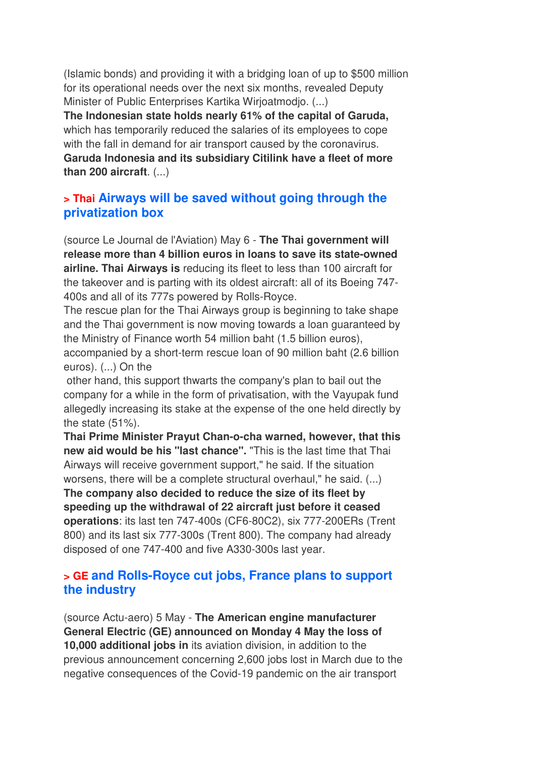(Islamic bonds) and providing it with a bridging loan of up to \$500 million for its operational needs over the next six months, revealed Deputy Minister of Public Enterprises Kartika Wirjoatmodjo. (...)

**The Indonesian state holds nearly 61% of the capital of Garuda,** which has temporarily reduced the salaries of its employees to cope with the fall in demand for air transport caused by the coronavirus. **Garuda Indonesia and its subsidiary Citilink have a fleet of more than 200 aircraft**. (...)

#### **> Thai Airways will be saved without going through the privatization box**

(source Le Journal de l'Aviation) May 6 - **The Thai government will release more than 4 billion euros in loans to save its state-owned airline. Thai Airways is** reducing its fleet to less than 100 aircraft for the takeover and is parting with its oldest aircraft: all of its Boeing 747- 400s and all of its 777s powered by Rolls-Royce.

The rescue plan for the Thai Airways group is beginning to take shape and the Thai government is now moving towards a loan guaranteed by the Ministry of Finance worth 54 million baht (1.5 billion euros), accompanied by a short-term rescue loan of 90 million baht (2.6 billion euros). (...) On the

 other hand, this support thwarts the company's plan to bail out the company for a while in the form of privatisation, with the Vayupak fund allegedly increasing its stake at the expense of the one held directly by the state (51%).

**Thai Prime Minister Prayut Chan-o-cha warned, however, that this new aid would be his "last chance".** "This is the last time that Thai Airways will receive government support," he said. If the situation worsens, there will be a complete structural overhaul," he said. (...)

**The company also decided to reduce the size of its fleet by speeding up the withdrawal of 22 aircraft just before it ceased operations**: its last ten 747-400s (CF6-80C2), six 777-200ERs (Trent 800) and its last six 777-300s (Trent 800). The company had already disposed of one 747-400 and five A330-300s last year.

#### **> GE and Rolls-Royce cut jobs, France plans to support the industry**

(source Actu-aero) 5 May - **The American engine manufacturer General Electric (GE) announced on Monday 4 May the loss of 10,000 additional jobs in** its aviation division, in addition to the previous announcement concerning 2,600 jobs lost in March due to the negative consequences of the Covid-19 pandemic on the air transport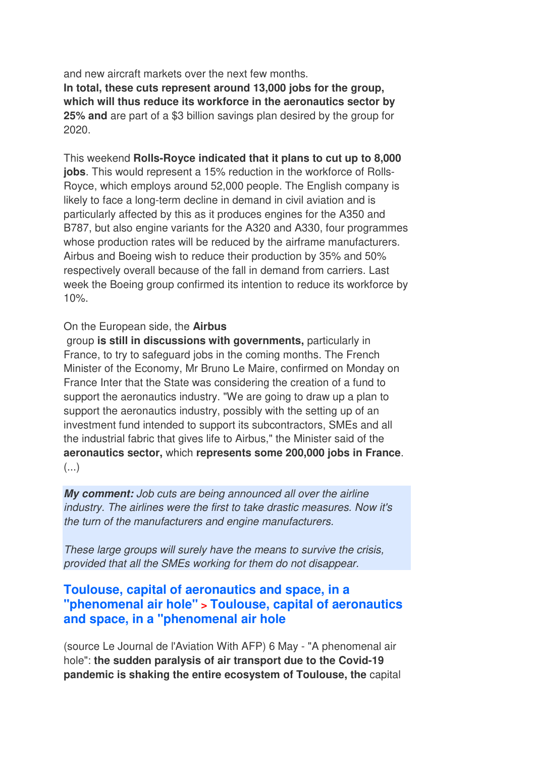and new aircraft markets over the next few months. **In total, these cuts represent around 13,000 jobs for the group, which will thus reduce its workforce in the aeronautics sector by 25% and** are part of a \$3 billion savings plan desired by the group for 2020.

This weekend **Rolls-Royce indicated that it plans to cut up to 8,000 jobs**. This would represent a 15% reduction in the workforce of Rolls-Royce, which employs around 52,000 people. The English company is likely to face a long-term decline in demand in civil aviation and is particularly affected by this as it produces engines for the A350 and B787, but also engine variants for the A320 and A330, four programmes whose production rates will be reduced by the airframe manufacturers. Airbus and Boeing wish to reduce their production by 35% and 50% respectively overall because of the fall in demand from carriers. Last week the Boeing group confirmed its intention to reduce its workforce by 10%.

#### On the European side, the **Airbus**

 group **is still in discussions with governments,** particularly in France, to try to safeguard jobs in the coming months. The French Minister of the Economy, Mr Bruno Le Maire, confirmed on Monday on France Inter that the State was considering the creation of a fund to support the aeronautics industry. "We are going to draw up a plan to support the aeronautics industry, possibly with the setting up of an investment fund intended to support its subcontractors, SMEs and all the industrial fabric that gives life to Airbus," the Minister said of the **aeronautics sector,** which **represents some 200,000 jobs in France**. (...)

*My comment:* Job cuts are being announced all over the airline industry. The airlines were the first to take drastic measures. Now it's the turn of the manufacturers and engine manufacturers.

These large groups will surely have the means to survive the crisis, provided that all the SMEs working for them do not disappear.

#### **Toulouse, capital of aeronautics and space, in a "phenomenal air hole" > Toulouse, capital of aeronautics and space, in a "phenomenal air hole**

(source Le Journal de l'Aviation With AFP) 6 May - "A phenomenal air hole": **the sudden paralysis of air transport due to the Covid-19 pandemic is shaking the entire ecosystem of Toulouse, the** capital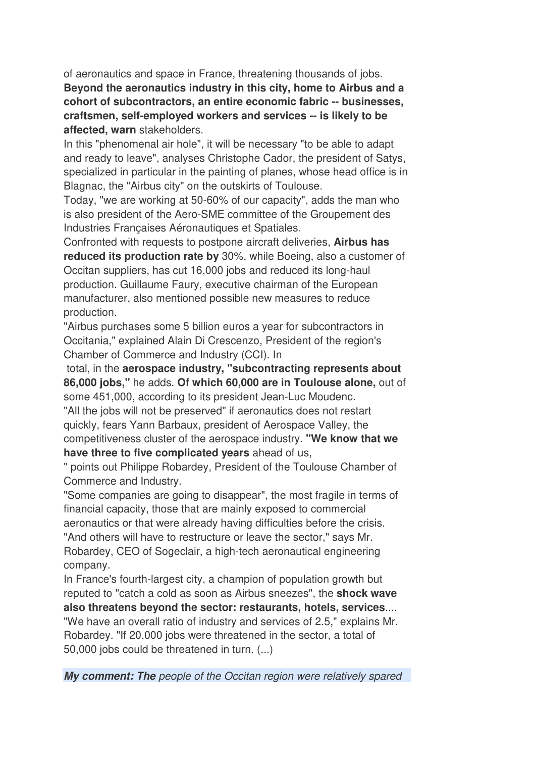of aeronautics and space in France, threatening thousands of jobs. **Beyond the aeronautics industry in this city, home to Airbus and a cohort of subcontractors, an entire economic fabric -- businesses, craftsmen, self-employed workers and services -- is likely to be affected, warn** stakeholders.

In this "phenomenal air hole", it will be necessary "to be able to adapt and ready to leave", analyses Christophe Cador, the president of Satys, specialized in particular in the painting of planes, whose head office is in Blagnac, the "Airbus city" on the outskirts of Toulouse.

Today, "we are working at 50-60% of our capacity", adds the man who is also president of the Aero-SME committee of the Groupement des Industries Françaises Aéronautiques et Spatiales.

Confronted with requests to postpone aircraft deliveries, **Airbus has reduced its production rate by** 30%, while Boeing, also a customer of Occitan suppliers, has cut 16,000 jobs and reduced its long-haul production. Guillaume Faury, executive chairman of the European manufacturer, also mentioned possible new measures to reduce production.

"Airbus purchases some 5 billion euros a year for subcontractors in Occitania," explained Alain Di Crescenzo, President of the region's Chamber of Commerce and Industry (CCI). In

 total, in the **aerospace industry, "subcontracting represents about 86,000 jobs,"** he adds. **Of which 60,000 are in Toulouse alone,** out of some 451,000, according to its president Jean-Luc Moudenc.

"All the jobs will not be preserved" if aeronautics does not restart quickly, fears Yann Barbaux, president of Aerospace Valley, the competitiveness cluster of the aerospace industry. **"We know that we have three to five complicated years** ahead of us,

" points out Philippe Robardey, President of the Toulouse Chamber of Commerce and Industry.

"Some companies are going to disappear", the most fragile in terms of financial capacity, those that are mainly exposed to commercial aeronautics or that were already having difficulties before the crisis. "And others will have to restructure or leave the sector," says Mr. Robardey, CEO of Sogeclair, a high-tech aeronautical engineering company.

In France's fourth-largest city, a champion of population growth but reputed to "catch a cold as soon as Airbus sneezes", the **shock wave also threatens beyond the sector: restaurants, hotels, services**.... "We have an overall ratio of industry and services of 2.5," explains Mr. Robardey. "If 20,000 jobs were threatened in the sector, a total of 50,000 jobs could be threatened in turn. (...)

*My comment: The people of the Occitan region were relatively spared*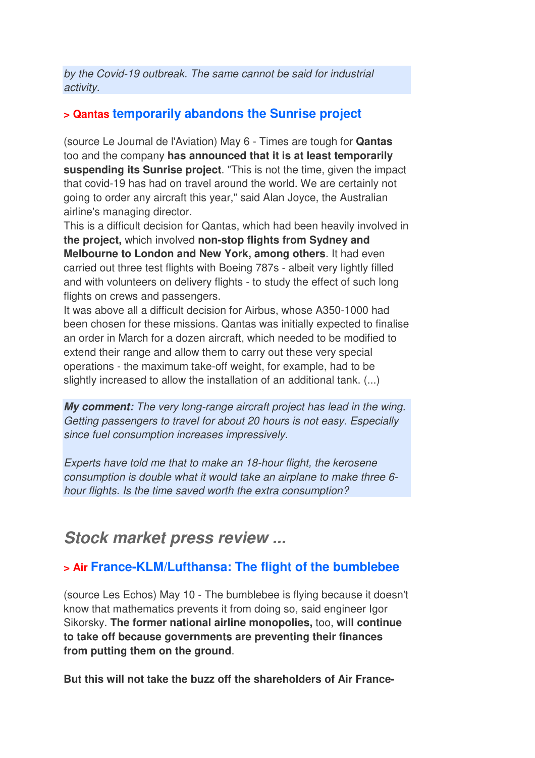by the Covid-19 outbreak. The same cannot be said for industrial activity.

#### **> Qantas temporarily abandons the Sunrise project**

(source Le Journal de l'Aviation) May 6 - Times are tough for **Qantas** too and the company **has announced that it is at least temporarily suspending its Sunrise project**. "This is not the time, given the impact that covid-19 has had on travel around the world. We are certainly not going to order any aircraft this year," said Alan Joyce, the Australian airline's managing director.

This is a difficult decision for Qantas, which had been heavily involved in **the project,** which involved **non-stop flights from Sydney and Melbourne to London and New York, among others**. It had even carried out three test flights with Boeing 787s - albeit very lightly filled and with volunteers on delivery flights - to study the effect of such long flights on crews and passengers.

It was above all a difficult decision for Airbus, whose A350-1000 had been chosen for these missions. Qantas was initially expected to finalise an order in March for a dozen aircraft, which needed to be modified to extend their range and allow them to carry out these very special operations - the maximum take-off weight, for example, had to be slightly increased to allow the installation of an additional tank. (...)

*My comment:* The very long-range aircraft project has lead in the wing. Getting passengers to travel for about 20 hours is not easy. Especially since fuel consumption increases impressively.

Experts have told me that to make an 18-hour flight, the kerosene consumption is double what it would take an airplane to make three 6 hour flights. Is the time saved worth the extra consumption?

## *Stock market press review ...*

## **> Air France-KLM/Lufthansa: The flight of the bumblebee**

(source Les Echos) May 10 - The bumblebee is flying because it doesn't know that mathematics prevents it from doing so, said engineer Igor Sikorsky. **The former national airline monopolies,** too, **will continue to take off because governments are preventing their finances from putting them on the ground**.

**But this will not take the buzz off the shareholders of Air France-**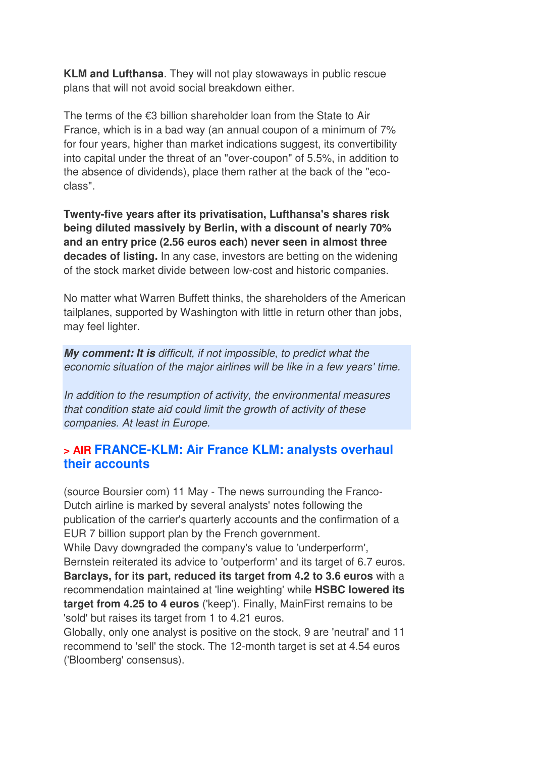**KLM and Lufthansa**. They will not play stowaways in public rescue plans that will not avoid social breakdown either.

The terms of the €3 billion shareholder loan from the State to Air France, which is in a bad way (an annual coupon of a minimum of 7% for four years, higher than market indications suggest, its convertibility into capital under the threat of an "over-coupon" of 5.5%, in addition to the absence of dividends), place them rather at the back of the "ecoclass".

**Twenty-five years after its privatisation, Lufthansa's shares risk being diluted massively by Berlin, with a discount of nearly 70% and an entry price (2.56 euros each) never seen in almost three decades of listing.** In any case, investors are betting on the widening of the stock market divide between low-cost and historic companies.

No matter what Warren Buffett thinks, the shareholders of the American tailplanes, supported by Washington with little in return other than jobs, may feel lighter.

*My comment: It is* difficult, if not impossible, to predict what the economic situation of the major airlines will be like in a few years' time.

In addition to the resumption of activity, the environmental measures that condition state aid could limit the growth of activity of these companies. At least in Europe.

### **> AIR FRANCE-KLM: Air France KLM: analysts overhaul their accounts**

(source Boursier com) 11 May - The news surrounding the Franco-Dutch airline is marked by several analysts' notes following the publication of the carrier's quarterly accounts and the confirmation of a EUR 7 billion support plan by the French government. While Davy downgraded the company's value to 'underperform', Bernstein reiterated its advice to 'outperform' and its target of 6.7 euros. **Barclays, for its part, reduced its target from 4.2 to 3.6 euros** with a recommendation maintained at 'line weighting' while **HSBC lowered its target from 4.25 to 4 euros** ('keep'). Finally, MainFirst remains to be 'sold' but raises its target from 1 to 4.21 euros.

Globally, only one analyst is positive on the stock, 9 are 'neutral' and 11 recommend to 'sell' the stock. The 12-month target is set at 4.54 euros ('Bloomberg' consensus).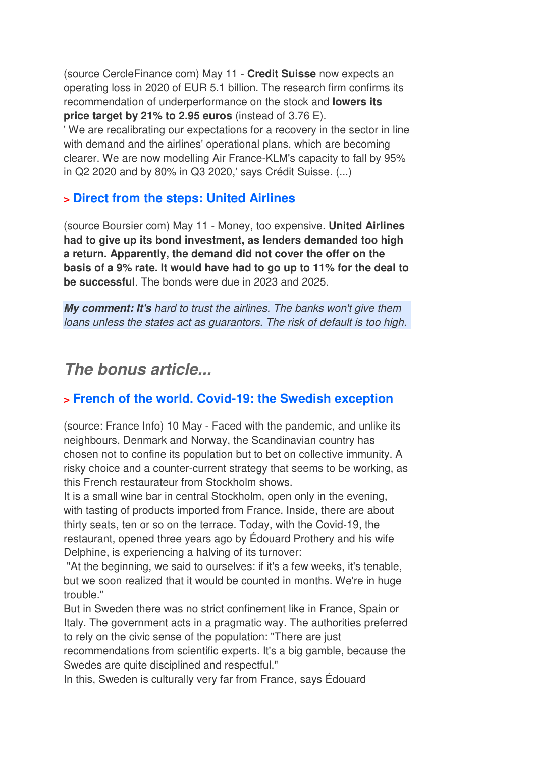(source CercleFinance com) May 11 - **Credit Suisse** now expects an operating loss in 2020 of EUR 5.1 billion. The research firm confirms its recommendation of underperformance on the stock and **lowers its price target by 21% to 2.95 euros** (instead of 3.76 E).

' We are recalibrating our expectations for a recovery in the sector in line with demand and the airlines' operational plans, which are becoming clearer. We are now modelling Air France-KLM's capacity to fall by 95% in Q2 2020 and by 80% in Q3 2020,' says Crédit Suisse. (...)

#### **> Direct from the steps: United Airlines**

(source Boursier com) May 11 - Money, too expensive. **United Airlines had to give up its bond investment, as lenders demanded too high a return. Apparently, the demand did not cover the offer on the basis of a 9% rate. It would have had to go up to 11% for the deal to be successful**. The bonds were due in 2023 and 2025.

*My comment: It's* hard to trust the airlines. The banks won't give them loans unless the states act as guarantors. The risk of default is too high.

## *The bonus article...*

## **> French of the world. Covid-19: the Swedish exception**

(source: France Info) 10 May - Faced with the pandemic, and unlike its neighbours, Denmark and Norway, the Scandinavian country has chosen not to confine its population but to bet on collective immunity. A risky choice and a counter-current strategy that seems to be working, as this French restaurateur from Stockholm shows.

It is a small wine bar in central Stockholm, open only in the evening, with tasting of products imported from France. Inside, there are about thirty seats, ten or so on the terrace. Today, with the Covid-19, the restaurant, opened three years ago by Édouard Prothery and his wife Delphine, is experiencing a halving of its turnover:

 "At the beginning, we said to ourselves: if it's a few weeks, it's tenable, but we soon realized that it would be counted in months. We're in huge trouble."

But in Sweden there was no strict confinement like in France, Spain or Italy. The government acts in a pragmatic way. The authorities preferred to rely on the civic sense of the population: "There are just recommendations from scientific experts. It's a big gamble, because the Swedes are quite disciplined and respectful."

In this, Sweden is culturally very far from France, says Édouard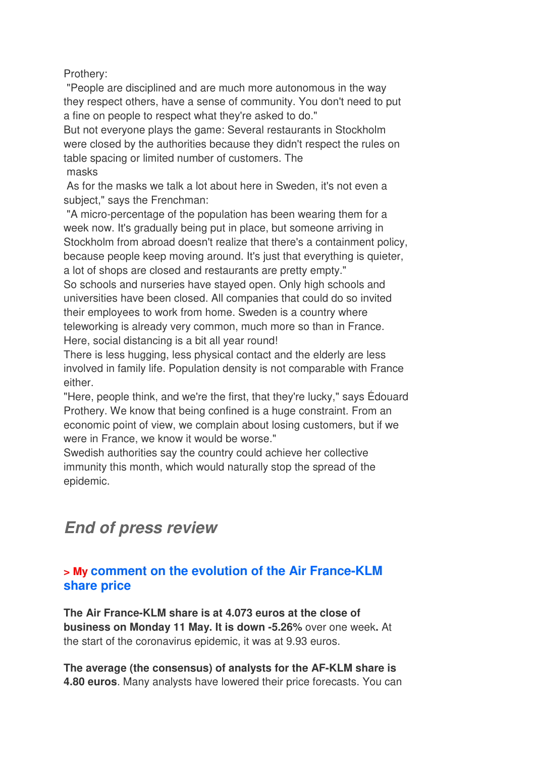Prothery:

 "People are disciplined and are much more autonomous in the way they respect others, have a sense of community. You don't need to put a fine on people to respect what they're asked to do."

But not everyone plays the game: Several restaurants in Stockholm were closed by the authorities because they didn't respect the rules on table spacing or limited number of customers. The masks

 As for the masks we talk a lot about here in Sweden, it's not even a subject," says the Frenchman:

 "A micro-percentage of the population has been wearing them for a week now. It's gradually being put in place, but someone arriving in Stockholm from abroad doesn't realize that there's a containment policy, because people keep moving around. It's just that everything is quieter, a lot of shops are closed and restaurants are pretty empty."

So schools and nurseries have stayed open. Only high schools and universities have been closed. All companies that could do so invited their employees to work from home. Sweden is a country where teleworking is already very common, much more so than in France. Here, social distancing is a bit all year round!

There is less hugging, less physical contact and the elderly are less involved in family life. Population density is not comparable with France either.

"Here, people think, and we're the first, that they're lucky," says Édouard Prothery. We know that being confined is a huge constraint. From an economic point of view, we complain about losing customers, but if we were in France, we know it would be worse."

Swedish authorities say the country could achieve her collective immunity this month, which would naturally stop the spread of the epidemic.

# *End of press review*

### **> My comment on the evolution of the Air France-KLM share price**

**The Air France-KLM share is at 4.073 euros at the close of business on Monday 11 May. It is down -5.26%** over one week**.** At the start of the coronavirus epidemic, it was at 9.93 euros.

**The average (the consensus) of analysts for the AF-KLM share is 4.80 euros**. Many analysts have lowered their price forecasts. You can